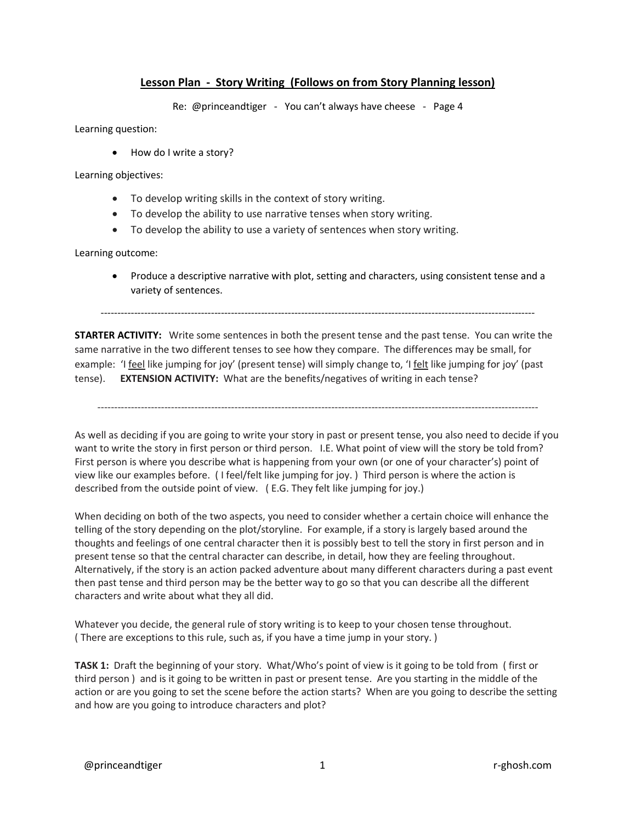## **Lesson Plan - Story Writing (Follows on from Story Planning lesson)**

Re: @princeandtiger - You can't always have cheese - Page 4

Learning question:

• How do I write a story?

Learning objectives:

- To develop writing skills in the context of story writing.
- To develop the ability to use narrative tenses when story writing.
- To develop the ability to use a variety of sentences when story writing.

Learning outcome:

• Produce a descriptive narrative with plot, setting and characters, using consistent tense and a variety of sentences.

----------------------------------------------------------------------------------------------------------------------------------

**STARTER ACTIVITY:** Write some sentences in both the present tense and the past tense. You can write the same narrative in the two different tenses to see how they compare. The differences may be small, for example: 'I feel like jumping for joy' (present tense) will simply change to, 'I felt like jumping for joy' (past tense). **EXTENSION ACTIVITY:** What are the benefits/negatives of writing in each tense?

------------------------------------------------------------------------------------------------------------------------------------

As well as deciding if you are going to write your story in past or present tense, you also need to decide if you want to write the story in first person or third person. I.E. What point of view will the story be told from? First person is where you describe what is happening from your own (or one of your character's) point of view like our examples before. ( I feel/felt like jumping for joy. ) Third person is where the action is described from the outside point of view. ( E.G. They felt like jumping for joy.)

When deciding on both of the two aspects, you need to consider whether a certain choice will enhance the telling of the story depending on the plot/storyline. For example, if a story is largely based around the thoughts and feelings of one central character then it is possibly best to tell the story in first person and in present tense so that the central character can describe, in detail, how they are feeling throughout. Alternatively, if the story is an action packed adventure about many different characters during a past event then past tense and third person may be the better way to go so that you can describe all the different characters and write about what they all did.

Whatever you decide, the general rule of story writing is to keep to your chosen tense throughout. ( There are exceptions to this rule, such as, if you have a time jump in your story. )

**TASK 1:** Draft the beginning of your story. What/Who's point of view is it going to be told from ( first or third person ) and is it going to be written in past or present tense. Are you starting in the middle of the action or are you going to set the scene before the action starts?When are you going to describe the setting and how are you going to introduce characters and plot?